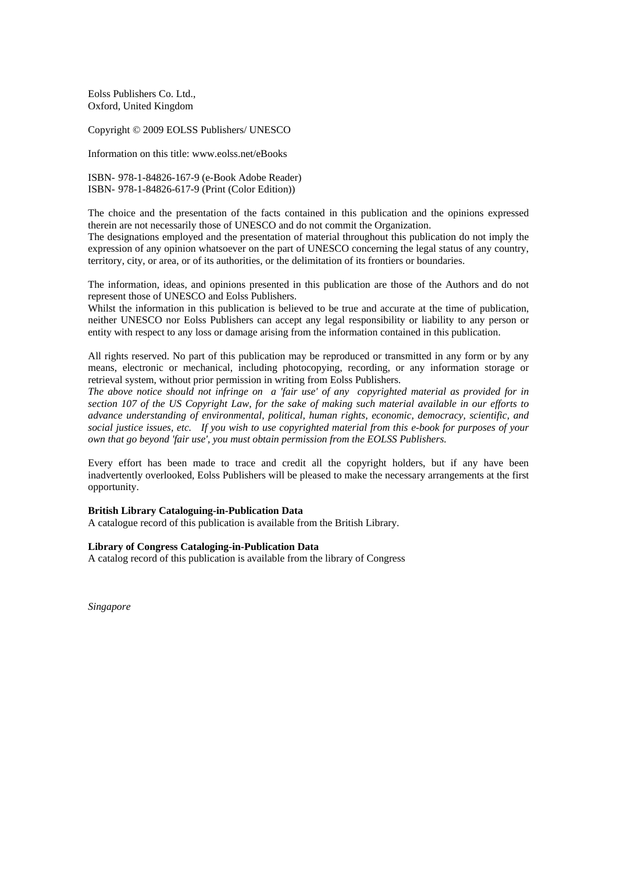Eolss Publishers Co. Ltd., Oxford, United Kingdom

Copyright © 2009 EOLSS Publishers/ UNESCO

Information on this title: www.eolss.net/eBooks

ISBN- 978-1-84826-167-9 (e-Book Adobe Reader) ISBN- 978-1-84826-617-9 (Print (Color Edition))

The choice and the presentation of the facts contained in this publication and the opinions expressed therein are not necessarily those of UNESCO and do not commit the Organization.

The designations employed and the presentation of material throughout this publication do not imply the expression of any opinion whatsoever on the part of UNESCO concerning the legal status of any country, territory, city, or area, or of its authorities, or the delimitation of its frontiers or boundaries.

The information, ideas, and opinions presented in this publication are those of the Authors and do not represent those of UNESCO and Eolss Publishers.

Whilst the information in this publication is believed to be true and accurate at the time of publication, neither UNESCO nor Eolss Publishers can accept any legal responsibility or liability to any person or entity with respect to any loss or damage arising from the information contained in this publication.

All rights reserved. No part of this publication may be reproduced or transmitted in any form or by any means, electronic or mechanical, including photocopying, recording, or any information storage or retrieval system, without prior permission in writing from Eolss Publishers.

*The above notice should not infringe on a 'fair use' of any copyrighted material as provided for in section 107 of the US Copyright Law, for the sake of making such material available in our efforts to advance understanding of environmental, political, human rights, economic, democracy, scientific, and social justice issues, etc. If you wish to use copyrighted material from this e-book for purposes of your own that go beyond 'fair use', you must obtain permission from the EOLSS Publishers.* 

Every effort has been made to trace and credit all the copyright holders, but if any have been inadvertently overlooked, Eolss Publishers will be pleased to make the necessary arrangements at the first opportunity.

#### **British Library Cataloguing-in-Publication Data**

A catalogue record of this publication is available from the British Library.

#### **Library of Congress Cataloging-in-Publication Data**

A catalog record of this publication is available from the library of Congress

*Singapore*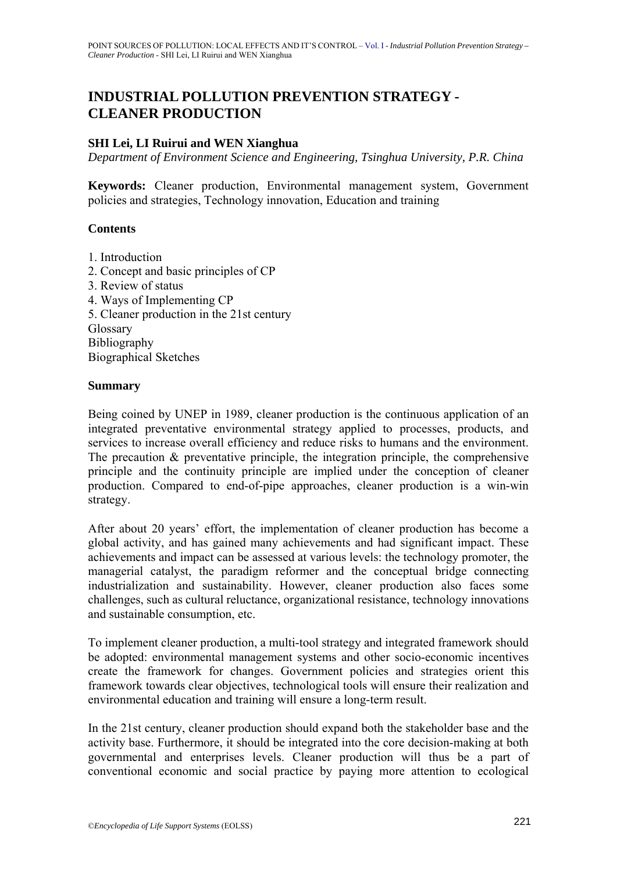# **INDUSTRIAL POLLUTION PREVENTION STRATEGY - CLEANER PRODUCTION**

#### **SHI Lei, LI Ruirui and WEN Xianghua**

*Department of Environment Science and Engineering, Tsinghua University, P.R. China* 

**Keywords:** Cleaner production, Environmental management system, Government policies and strategies, Technology innovation, Education and training

#### **Contents**

- 1. Introduction
- 2. Concept and basic principles of CP 3. Review of status 4. Ways of Implementing CP 5. Cleaner production in the 21st century Glossary Bibliography Biographical Sketches

#### **Summary**

Being coined by UNEP in 1989, cleaner production is the continuous application of an integrated preventative environmental strategy applied to processes, products, and services to increase overall efficiency and reduce risks to humans and the environment. The precaution & preventative principle, the integration principle, the comprehensive principle and the continuity principle are implied under the conception of cleaner production. Compared to end-of-pipe approaches, cleaner production is a win-win strategy.

After about 20 years' effort, the implementation of cleaner production has become a global activity, and has gained many achievements and had significant impact. These achievements and impact can be assessed at various levels: the technology promoter, the managerial catalyst, the paradigm reformer and the conceptual bridge connecting industrialization and sustainability. However, cleaner production also faces some challenges, such as cultural reluctance, organizational resistance, technology innovations and sustainable consumption, etc.

To implement cleaner production, a multi-tool strategy and integrated framework should be adopted: environmental management systems and other socio-economic incentives create the framework for changes. Government policies and strategies orient this framework towards clear objectives, technological tools will ensure their realization and environmental education and training will ensure a long-term result.

In the 21st century, cleaner production should expand both the stakeholder base and the activity base. Furthermore, it should be integrated into the core decision-making at both governmental and enterprises levels. Cleaner production will thus be a part of conventional economic and social practice by paying more attention to ecological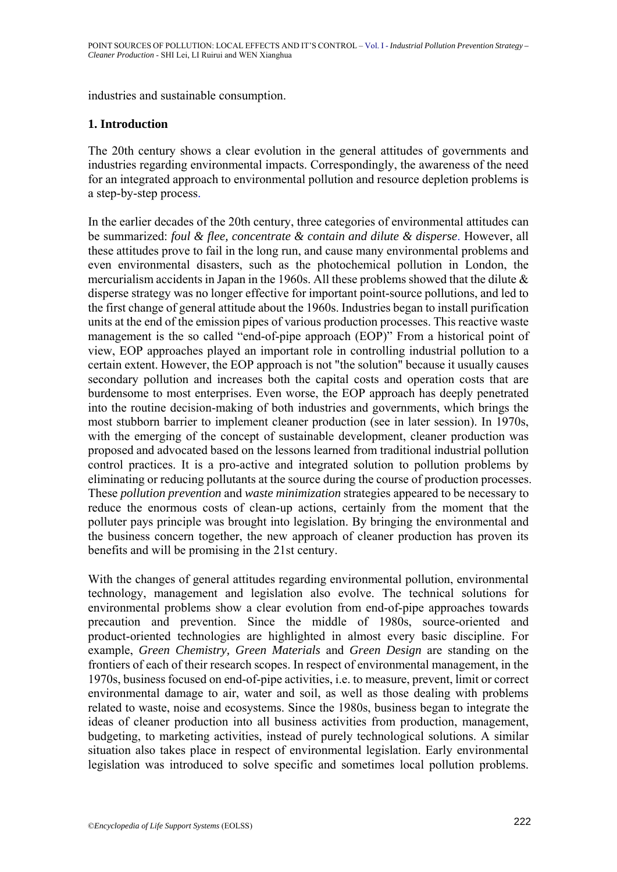industries and sustainable consumption.

## **1. Introduction**

The 20th century shows a clear evolution in the general attitudes of governments and industries regarding environmental impacts. Correspondingly, the awareness of the need for an integrated approach to environmental pollution and resource depletion problems is a step-by-step process.

In the earlier decades of the 20th century, three categories of environmental attitudes can be summarized: *foul & flee, concentrate & contain and dilute & disperse*. However, all these attitudes prove to fail in the long run, and cause many environmental problems and even environmental disasters, such as the photochemical pollution in London, the mercurialism accidents in Japan in the 1960s. All these problems showed that the dilute & disperse strategy was no longer effective for important point-source pollutions, and led to the first change of general attitude about the 1960s. Industries began to install purification units at the end of the emission pipes of various production processes. This reactive waste management is the so called "end-of-pipe approach (EOP)" From a historical point of view, EOP approaches played an important role in controlling industrial pollution to a certain extent. However, the EOP approach is not "the solution" because it usually causes secondary pollution and increases both the capital costs and operation costs that are burdensome to most enterprises. Even worse, the EOP approach has deeply penetrated into the routine decision-making of both industries and governments, which brings the most stubborn barrier to implement cleaner production (see in later session). In 1970s, with the emerging of the concept of sustainable development, cleaner production was proposed and advocated based on the lessons learned from traditional industrial pollution control practices. It is a pro-active and integrated solution to pollution problems by eliminating or reducing pollutants at the source during the course of production processes. These *pollution prevention* and *waste minimization* strategies appeared to be necessary to reduce the enormous costs of clean-up actions, certainly from the moment that the polluter pays principle was brought into legislation. By bringing the environmental and the business concern together, the new approach of cleaner production has proven its benefits and will be promising in the 21st century.

With the changes of general attitudes regarding environmental pollution, environmental technology, management and legislation also evolve. The technical solutions for environmental problems show a clear evolution from end-of-pipe approaches towards precaution and prevention. Since the middle of 1980s, source-oriented and product-oriented technologies are highlighted in almost every basic discipline. For example, *Green Chemistry, Green Materials* and *Green Design* are standing on the frontiers of each of their research scopes. In respect of environmental management, in the 1970s, business focused on end-of-pipe activities, i.e. to measure, prevent, limit or correct environmental damage to air, water and soil, as well as those dealing with problems related to waste, noise and ecosystems. Since the 1980s, business began to integrate the ideas of cleaner production into all business activities from production, management, budgeting, to marketing activities, instead of purely technological solutions. A similar situation also takes place in respect of environmental legislation. Early environmental legislation was introduced to solve specific and sometimes local pollution problems.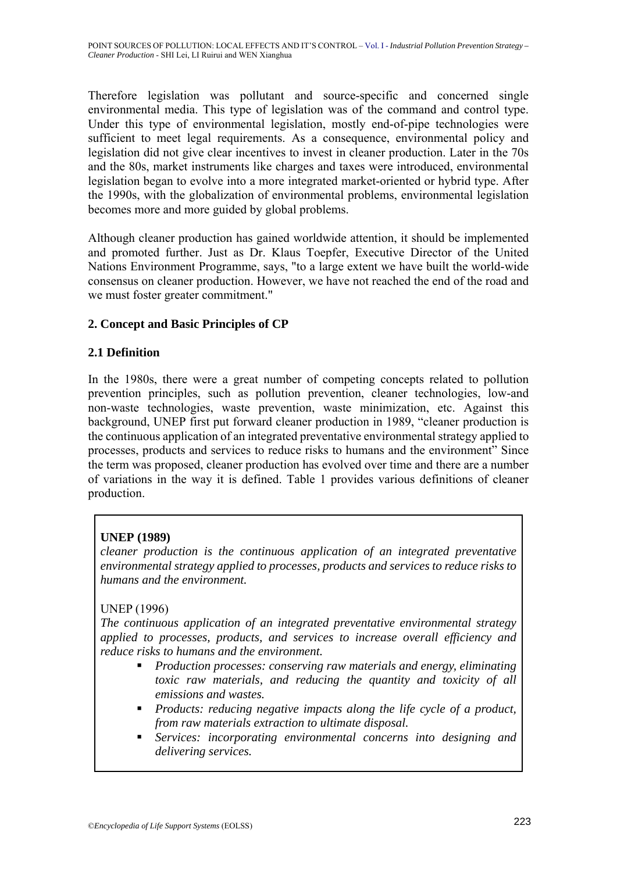Therefore legislation was pollutant and source-specific and concerned single environmental media. This type of legislation was of the command and control type. Under this type of environmental legislation, mostly end-of-pipe technologies were sufficient to meet legal requirements. As a consequence, environmental policy and legislation did not give clear incentives to invest in cleaner production. Later in the 70s and the 80s, market instruments like charges and taxes were introduced, environmental legislation began to evolve into a more integrated market-oriented or hybrid type. After the 1990s, with the globalization of environmental problems, environmental legislation becomes more and more guided by global problems.

Although cleaner production has gained worldwide attention, it should be implemented and promoted further. Just as Dr. Klaus Toepfer, Executive Director of the United Nations Environment Programme, says, "to a large extent we have built the world-wide consensus on cleaner production. However, we have not reached the end of the road and we must foster greater commitment."

# **2. Concept and Basic Principles of CP**

## **2.1 Definition**

In the 1980s, there were a great number of competing concepts related to pollution prevention principles, such as pollution prevention, cleaner technologies, low-and non-waste technologies, waste prevention, waste minimization, etc. Against this background, UNEP first put forward cleaner production in 1989, "cleaner production is the continuous application of an integrated preventative environmental strategy applied to processes, products and services to reduce risks to humans and the environment" Since the term was proposed, cleaner production has evolved over time and there are a number of variations in the way it is defined. Table 1 provides various definitions of cleaner production.

# **UNEP (1989)**

*cleaner production is the continuous application of an integrated preventative environmental strategy applied to processes, products and services to reduce risks to humans and the environment.* 

# UNEP (1996)

*The continuous application of an integrated preventative environmental strategy applied to processes, products, and services to increase overall efficiency and reduce risks to humans and the environment.* 

- *Production processes: conserving raw materials and energy, eliminating toxic raw materials, and reducing the quantity and toxicity of all emissions and wastes.*
- *Products: reducing negative impacts along the life cycle of a product, from raw materials extraction to ultimate disposal.*
- *Services: incorporating environmental concerns into designing and delivering services.*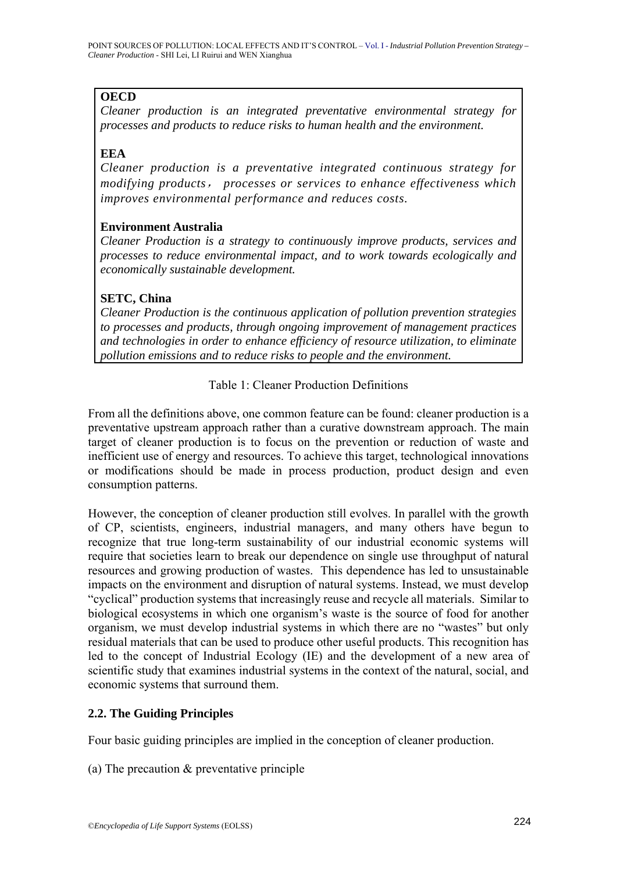# **OECD**

*Cleaner production is an integrated preventative environmental strategy for processes and products to reduce risks to human health and the environment.* 

# **EEA**

*Cleaner production is a preventative integrated continuous strategy for modifying products*, *processes or services to enhance effectiveness which improves environmental performance and reduces costs.* 

## **Environment Australia**

*Cleaner Production is a strategy to continuously improve products, services and processes to reduce environmental impact, and to work towards ecologically and economically sustainable development.* 

# **SETC, China**

*Cleaner Production is the continuous application of pollution prevention strategies to processes and products, through ongoing improvement of management practices and technologies in order to enhance efficiency of resource utilization, to eliminate pollution emissions and to reduce risks to people and the environment.* 

# Table 1: Cleaner Production Definitions

From all the definitions above, one common feature can be found: cleaner production is a preventative upstream approach rather than a curative downstream approach. The main target of cleaner production is to focus on the prevention or reduction of waste and inefficient use of energy and resources. To achieve this target, technological innovations or modifications should be made in process production, product design and even consumption patterns.

However, the conception of cleaner production still evolves. In parallel with the growth of CP, scientists, engineers, industrial managers, and many others have begun to recognize that true long-term sustainability of our industrial economic systems will require that societies learn to break our dependence on single use throughput of natural resources and growing production of wastes. This dependence has led to unsustainable impacts on the environment and disruption of natural systems. Instead, we must develop "cyclical" production systems that increasingly reuse and recycle all materials. Similar to biological ecosystems in which one organism's waste is the source of food for another organism, we must develop industrial systems in which there are no "wastes" but only residual materials that can be used to produce other useful products. This recognition has led to the concept of Industrial Ecology (IE) and the development of a new area of scientific study that examines industrial systems in the context of the natural, social, and economic systems that surround them.

# **2.2. The Guiding Principles**

Four basic guiding principles are implied in the conception of cleaner production.

(a) The precaution & preventative principle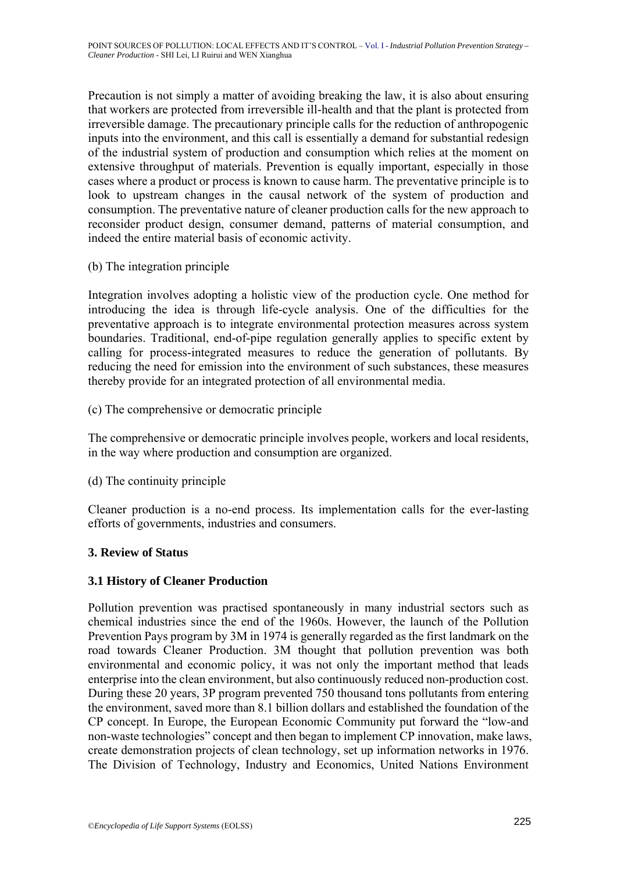Precaution is not simply a matter of avoiding breaking the law, it is also about ensuring that workers are protected from irreversible ill-health and that the plant is protected from irreversible damage. The precautionary principle calls for the reduction of anthropogenic inputs into the environment, and this call is essentially a demand for substantial redesign of the industrial system of production and consumption which relies at the moment on extensive throughput of materials. Prevention is equally important, especially in those cases where a product or process is known to cause harm. The preventative principle is to look to upstream changes in the causal network of the system of production and consumption. The preventative nature of cleaner production calls for the new approach to reconsider product design, consumer demand, patterns of material consumption, and indeed the entire material basis of economic activity.

(b) The integration principle

Integration involves adopting a holistic view of the production cycle. One method for introducing the idea is through life-cycle analysis. One of the difficulties for the preventative approach is to integrate environmental protection measures across system boundaries. Traditional, end-of-pipe regulation generally applies to specific extent by calling for process-integrated measures to reduce the generation of pollutants. By reducing the need for emission into the environment of such substances, these measures thereby provide for an integrated protection of all environmental media.

(c) The comprehensive or democratic principle

The comprehensive or democratic principle involves people, workers and local residents, in the way where production and consumption are organized.

(d) The continuity principle

Cleaner production is a no-end process. Its implementation calls for the ever-lasting efforts of governments, industries and consumers.

## **3. Review of Status**

## **3.1 History of Cleaner Production**

Pollution prevention was practised spontaneously in many industrial sectors such as chemical industries since the end of the 1960s. However, the launch of the Pollution Prevention Pays program by 3M in 1974 is generally regarded as the first landmark on the road towards Cleaner Production. 3M thought that pollution prevention was both environmental and economic policy, it was not only the important method that leads enterprise into the clean environment, but also continuously reduced non-production cost. During these 20 years, 3P program prevented 750 thousand tons pollutants from entering the environment, saved more than 8.1 billion dollars and established the foundation of the CP concept. In Europe, the European Economic Community put forward the "low-and non-waste technologies" concept and then began to implement CP innovation, make laws, create demonstration projects of clean technology, set up information networks in 1976. The Division of Technology, Industry and Economics, United Nations Environment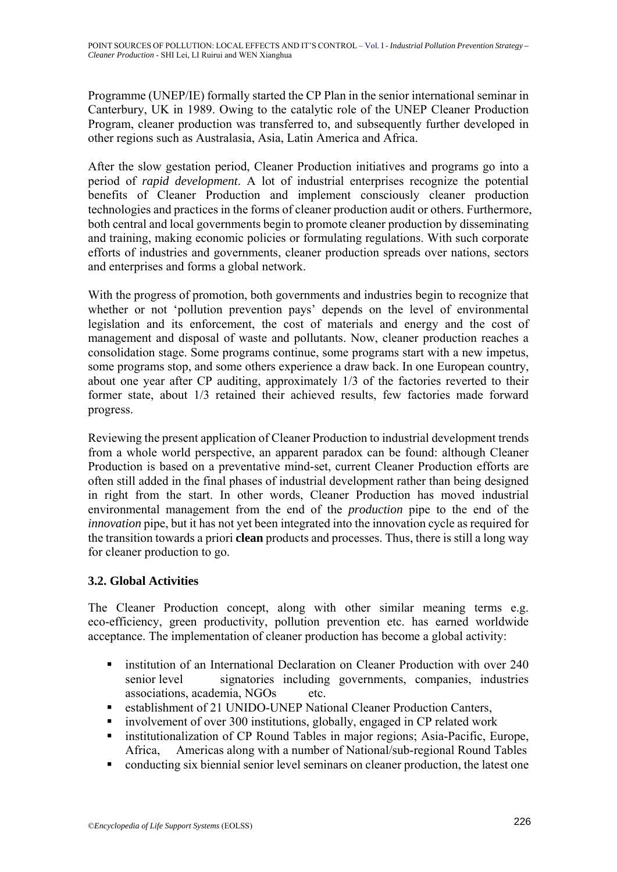Programme (UNEP/IE) formally started the CP Plan in the senior international seminar in Canterbury, UK in 1989. Owing to the catalytic role of the UNEP Cleaner Production Program, cleaner production was transferred to, and subsequently further developed in other regions such as Australasia, Asia, Latin America and Africa.

After the slow gestation period, Cleaner Production initiatives and programs go into a period of *rapid development*. A lot of industrial enterprises recognize the potential benefits of Cleaner Production and implement consciously cleaner production technologies and practices in the forms of cleaner production audit or others. Furthermore, both central and local governments begin to promote cleaner production by disseminating and training, making economic policies or formulating regulations. With such corporate efforts of industries and governments, cleaner production spreads over nations, sectors and enterprises and forms a global network.

With the progress of promotion, both governments and industries begin to recognize that whether or not 'pollution prevention pays' depends on the level of environmental legislation and its enforcement, the cost of materials and energy and the cost of management and disposal of waste and pollutants. Now, cleaner production reaches a consolidation stage. Some programs continue, some programs start with a new impetus, some programs stop, and some others experience a draw back. In one European country, about one year after CP auditing, approximately 1/3 of the factories reverted to their former state, about 1/3 retained their achieved results, few factories made forward progress.

Reviewing the present application of Cleaner Production to industrial development trends from a whole world perspective, an apparent paradox can be found: although Cleaner Production is based on a preventative mind-set, current Cleaner Production efforts are often still added in the final phases of industrial development rather than being designed in right from the start. In other words, Cleaner Production has moved industrial environmental management from the end of the *production* pipe to the end of the *innovation* pipe, but it has not yet been integrated into the innovation cycle as required for the transition towards a priori **clean** products and processes. Thus, there is still a long way for cleaner production to go.

# **3.2. Global Activities**

The Cleaner Production concept, along with other similar meaning terms e.g. eco-efficiency, green productivity, pollution prevention etc. has earned worldwide acceptance. The implementation of cleaner production has become a global activity:

- **Example 1** institution of an International Declaration on Cleaner Production with over 240 senior level signatories including governments, companies, industries associations, academia, NGOs etc.
- establishment of 21 UNIDO-UNEP National Cleaner Production Canters,
- involvement of over 300 institutions, globally, engaged in CP related work
- **Exercise institutionalization of CP Round Tables in major regions; Asia-Pacific, Europe,** Africa, Americas along with a number of National/sub-regional Round Tables
- conducting six biennial senior level seminars on cleaner production, the latest one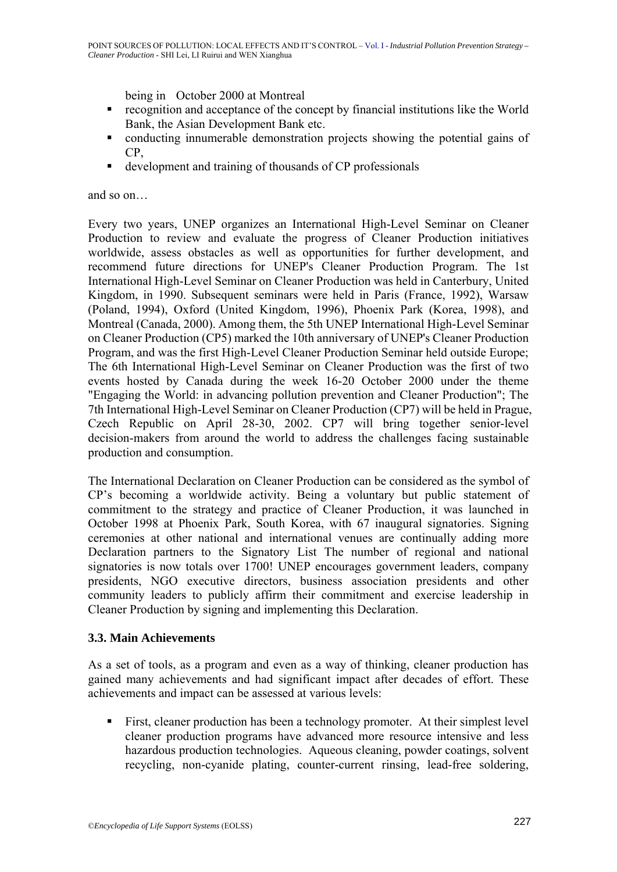being in October 2000 at Montreal

- recognition and acceptance of the concept by financial institutions like the World Bank, the Asian Development Bank etc.
- conducting innumerable demonstration projects showing the potential gains of CP,
- development and training of thousands of CP professionals

and so on…

Every two years, UNEP organizes an International High-Level Seminar on Cleaner Production to review and evaluate the progress of Cleaner Production initiatives worldwide, assess obstacles as well as opportunities for further development, and recommend future directions for UNEP's Cleaner Production Program. The 1st International High-Level Seminar on Cleaner Production was held in Canterbury, United Kingdom, in 1990. Subsequent seminars were held in Paris (France, 1992), Warsaw (Poland, 1994), Oxford (United Kingdom, 1996), Phoenix Park (Korea, 1998), and Montreal (Canada, 2000). Among them, the 5th UNEP International High-Level Seminar on Cleaner Production (CP5) marked the 10th anniversary of UNEP's Cleaner Production Program, and was the first High-Level Cleaner Production Seminar held outside Europe; The 6th International High-Level Seminar on Cleaner Production was the first of two events hosted by Canada during the week 16-20 October 2000 under the theme "Engaging the World: in advancing pollution prevention and Cleaner Production"; The 7th International High-Level Seminar on Cleaner Production (CP7) will be held in Prague, Czech Republic on April 28-30, 2002. CP7 will bring together senior-level decision-makers from around the world to address the challenges facing sustainable production and consumption.

The International Declaration on Cleaner Production can be considered as the symbol of CP's becoming a worldwide activity. Being a voluntary but public statement of commitment to the strategy and practice of Cleaner Production, it was launched in October 1998 at Phoenix Park, South Korea, with 67 inaugural signatories. Signing ceremonies at other national and international venues are continually adding more Declaration partners to the Signatory List The number of regional and national signatories is now totals over 1700! UNEP encourages government leaders, company presidents, NGO executive directors, business association presidents and other community leaders to publicly affirm their commitment and exercise leadership in Cleaner Production by signing and implementing this Declaration.

## **3.3. Main Achievements**

As a set of tools, as a program and even as a way of thinking, cleaner production has gained many achievements and had significant impact after decades of effort. These achievements and impact can be assessed at various levels:

First, cleaner production has been a technology promoter. At their simplest level cleaner production programs have advanced more resource intensive and less hazardous production technologies. Aqueous cleaning, powder coatings, solvent recycling, non-cyanide plating, counter-current rinsing, lead-free soldering,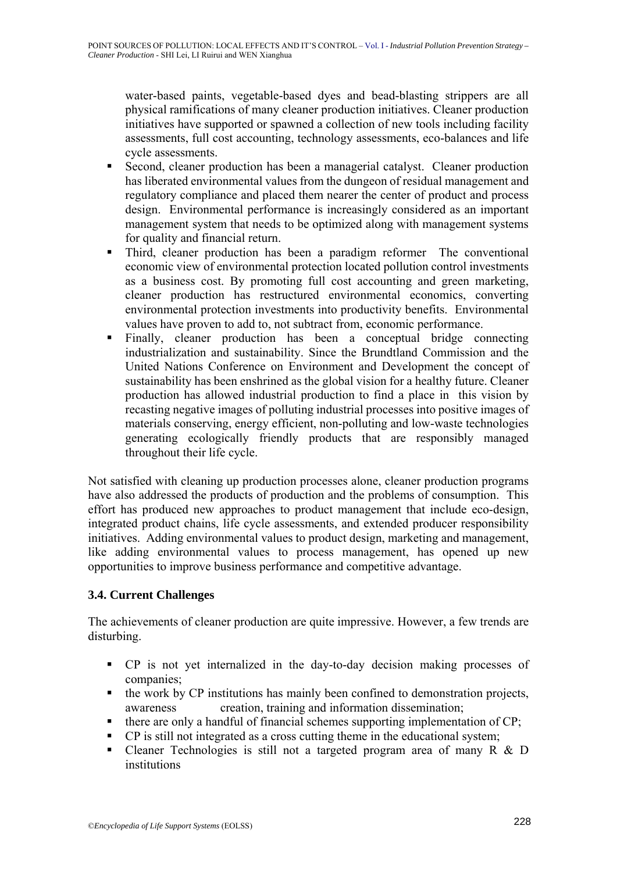water-based paints, vegetable-based dyes and bead-blasting strippers are all physical ramifications of many cleaner production initiatives. Cleaner production initiatives have supported or spawned a collection of new tools including facility assessments, full cost accounting, technology assessments, eco-balances and life cycle assessments.

- Second, cleaner production has been a managerial catalyst. Cleaner production has liberated environmental values from the dungeon of residual management and regulatory compliance and placed them nearer the center of product and process design. Environmental performance is increasingly considered as an important management system that needs to be optimized along with management systems for quality and financial return.
- Third, cleaner production has been a paradigm reformer The conventional economic view of environmental protection located pollution control investments as a business cost. By promoting full cost accounting and green marketing, cleaner production has restructured environmental economics, converting environmental protection investments into productivity benefits. Environmental values have proven to add to, not subtract from, economic performance.
- Finally, cleaner production has been a conceptual bridge connecting industrialization and sustainability. Since the Brundtland Commission and the United Nations Conference on Environment and Development the concept of sustainability has been enshrined as the global vision for a healthy future. Cleaner production has allowed industrial production to find a place in this vision by recasting negative images of polluting industrial processes into positive images of materials conserving, energy efficient, non-polluting and low-waste technologies generating ecologically friendly products that are responsibly managed throughout their life cycle.

Not satisfied with cleaning up production processes alone, cleaner production programs have also addressed the products of production and the problems of consumption. This effort has produced new approaches to product management that include eco-design, integrated product chains, life cycle assessments, and extended producer responsibility initiatives. Adding environmental values to product design, marketing and management, like adding environmental values to process management, has opened up new opportunities to improve business performance and competitive advantage.

# **3.4. Current Challenges**

The achievements of cleaner production are quite impressive. However, a few trends are disturbing.

- CP is not yet internalized in the day-to-day decision making processes of companies;
- $\blacksquare$  the work by CP institutions has mainly been confined to demonstration projects, awareness creation, training and information dissemination;
- $\blacksquare$  there are only a handful of financial schemes supporting implementation of CP;
- CP is still not integrated as a cross cutting theme in the educational system;
- Cleaner Technologies is still not a targeted program area of many R & D institutions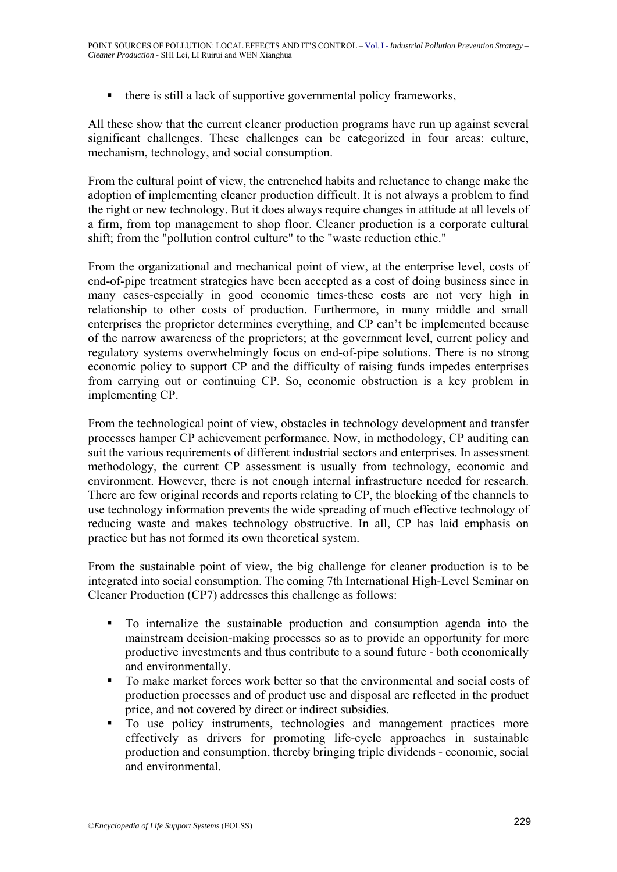$\blacksquare$  there is still a lack of supportive governmental policy frameworks,

All these show that the current cleaner production programs have run up against several significant challenges. These challenges can be categorized in four areas: culture, mechanism, technology, and social consumption.

From the cultural point of view, the entrenched habits and reluctance to change make the adoption of implementing cleaner production difficult. It is not always a problem to find the right or new technology. But it does always require changes in attitude at all levels of a firm, from top management to shop floor. Cleaner production is a corporate cultural shift; from the "pollution control culture" to the "waste reduction ethic."

From the organizational and mechanical point of view, at the enterprise level, costs of end-of-pipe treatment strategies have been accepted as a cost of doing business since in many cases-especially in good economic times-these costs are not very high in relationship to other costs of production. Furthermore, in many middle and small enterprises the proprietor determines everything, and CP can't be implemented because of the narrow awareness of the proprietors; at the government level, current policy and regulatory systems overwhelmingly focus on end-of-pipe solutions. There is no strong economic policy to support CP and the difficulty of raising funds impedes enterprises from carrying out or continuing CP. So, economic obstruction is a key problem in implementing CP.

From the technological point of view, obstacles in technology development and transfer processes hamper CP achievement performance. Now, in methodology, CP auditing can suit the various requirements of different industrial sectors and enterprises. In assessment methodology, the current CP assessment is usually from technology, economic and environment. However, there is not enough internal infrastructure needed for research. There are few original records and reports relating to CP, the blocking of the channels to use technology information prevents the wide spreading of much effective technology of reducing waste and makes technology obstructive. In all, CP has laid emphasis on practice but has not formed its own theoretical system.

From the sustainable point of view, the big challenge for cleaner production is to be integrated into social consumption. The coming 7th International High-Level Seminar on Cleaner Production (CP7) addresses this challenge as follows:

- To internalize the sustainable production and consumption agenda into the mainstream decision-making processes so as to provide an opportunity for more productive investments and thus contribute to a sound future - both economically and environmentally.
- To make market forces work better so that the environmental and social costs of production processes and of product use and disposal are reflected in the product price, and not covered by direct or indirect subsidies.
- $\blacksquare$  To use policy instruments, technologies and management practices more effectively as drivers for promoting life-cycle approaches in sustainable production and consumption, thereby bringing triple dividends - economic, social and environmental.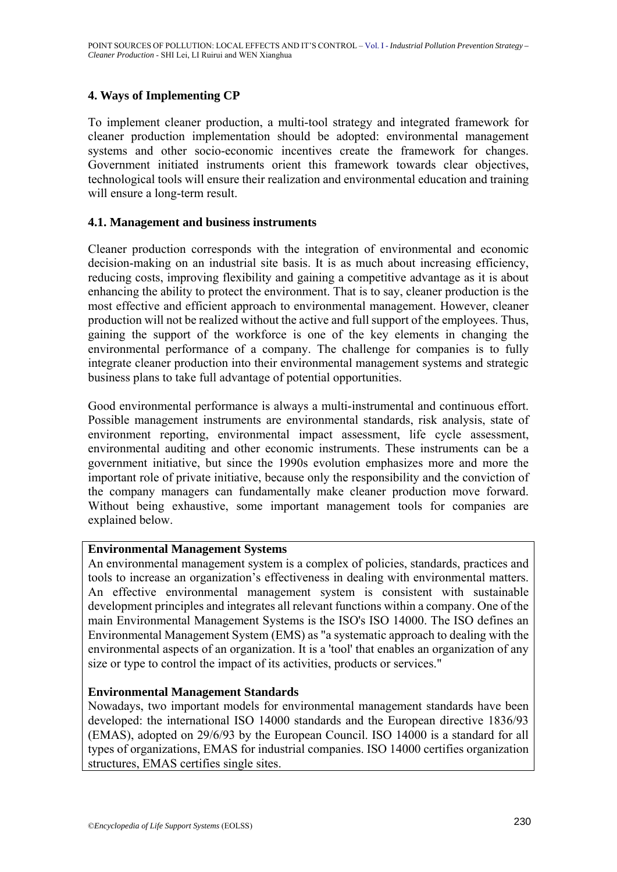## **4. Ways of Implementing CP**

To implement cleaner production, a multi-tool strategy and integrated framework for cleaner production implementation should be adopted: environmental management systems and other socio-economic incentives create the framework for changes. Government initiated instruments orient this framework towards clear objectives, technological tools will ensure their realization and environmental education and training will ensure a long-term result.

#### **4.1. Management and business instruments**

Cleaner production corresponds with the integration of environmental and economic decision-making on an industrial site basis. It is as much about increasing efficiency, reducing costs, improving flexibility and gaining a competitive advantage as it is about enhancing the ability to protect the environment. That is to say, cleaner production is the most effective and efficient approach to environmental management. However, cleaner production will not be realized without the active and full support of the employees. Thus, gaining the support of the workforce is one of the key elements in changing the environmental performance of a company. The challenge for companies is to fully integrate cleaner production into their environmental management systems and strategic business plans to take full advantage of potential opportunities.

Good environmental performance is always a multi-instrumental and continuous effort. Possible management instruments are environmental standards, risk analysis, state of environment reporting, environmental impact assessment, life cycle assessment, environmental auditing and other economic instruments. These instruments can be a government initiative, but since the 1990s evolution emphasizes more and more the important role of private initiative, because only the responsibility and the conviction of the company managers can fundamentally make cleaner production move forward. Without being exhaustive, some important management tools for companies are explained below.

## **Environmental Management Systems**

An environmental management system is a complex of policies, standards, practices and tools to increase an organization's effectiveness in dealing with environmental matters. An effective environmental management system is consistent with sustainable development principles and integrates all relevant functions within a company. One of the main Environmental Management Systems is the ISO's ISO 14000. The ISO defines an Environmental Management System (EMS) as "a systematic approach to dealing with the environmental aspects of an organization. It is a 'tool' that enables an organization of any size or type to control the impact of its activities, products or services."

## **Environmental Management Standards**

Nowadays, two important models for environmental management standards have been developed: the international ISO 14000 standards and the European directive 1836/93 (EMAS), adopted on 29/6/93 by the European Council. ISO 14000 is a standard for all types of organizations, EMAS for industrial companies. ISO 14000 certifies organization structures, EMAS certifies single sites.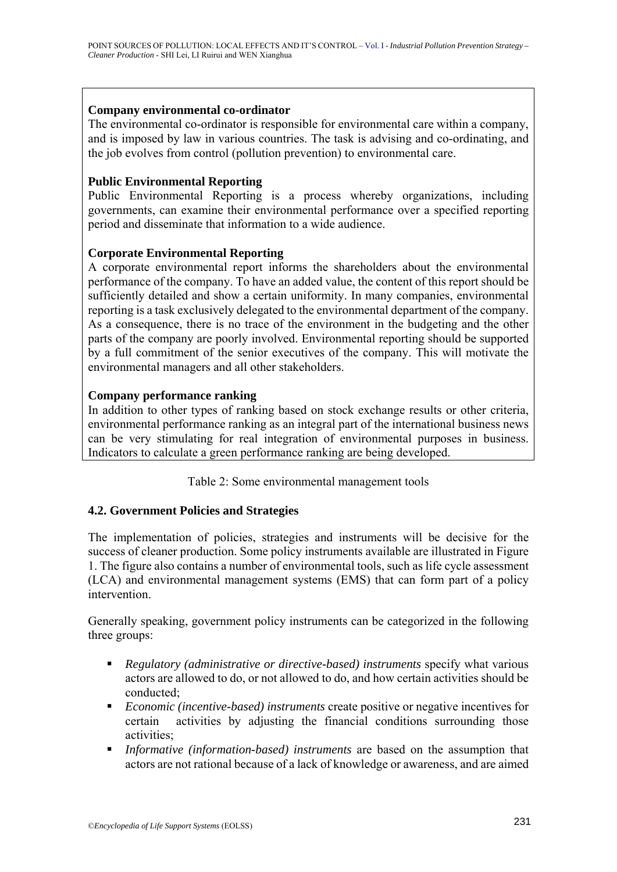#### **Company environmental co-ordinator**

The environmental co-ordinator is responsible for environmental care within a company, and is imposed by law in various countries. The task is advising and co-ordinating, and the job evolves from control (pollution prevention) to environmental care.

#### **Public Environmental Reporting**

Public Environmental Reporting is a process whereby organizations, including governments, can examine their environmental performance over a specified reporting period and disseminate that information to a wide audience.

#### **Corporate Environmental Reporting**

A corporate environmental report informs the shareholders about the environmental performance of the company. To have an added value, the content of this report should be sufficiently detailed and show a certain uniformity. In many companies, environmental reporting is a task exclusively delegated to the environmental department of the company. As a consequence, there is no trace of the environment in the budgeting and the other parts of the company are poorly involved. Environmental reporting should be supported by a full commitment of the senior executives of the company. This will motivate the environmental managers and all other stakeholders.

#### **Company performance ranking**

In addition to other types of ranking based on stock exchange results or other criteria, environmental performance ranking as an integral part of the international business news can be very stimulating for real integration of environmental purposes in business. Indicators to calculate a green performance ranking are being developed.

Table 2: Some environmental management tools

## **4.2. Government Policies and Strategies**

The implementation of policies, strategies and instruments will be decisive for the success of cleaner production. Some policy instruments available are illustrated in Figure 1. The figure also contains a number of environmental tools, such as life cycle assessment (LCA) and environmental management systems (EMS) that can form part of a policy intervention.

Generally speaking, government policy instruments can be categorized in the following three groups:

- *Regulatory (administrative or directive-based) instruments* specify what various actors are allowed to do, or not allowed to do, and how certain activities should be conducted;
- *Economic (incentive-based) instruments* create positive or negative incentives for certain activities by adjusting the financial conditions surrounding those activities;
- *Informative (information-based) instruments* are based on the assumption that actors are not rational because of a lack of knowledge or awareness, and are aimed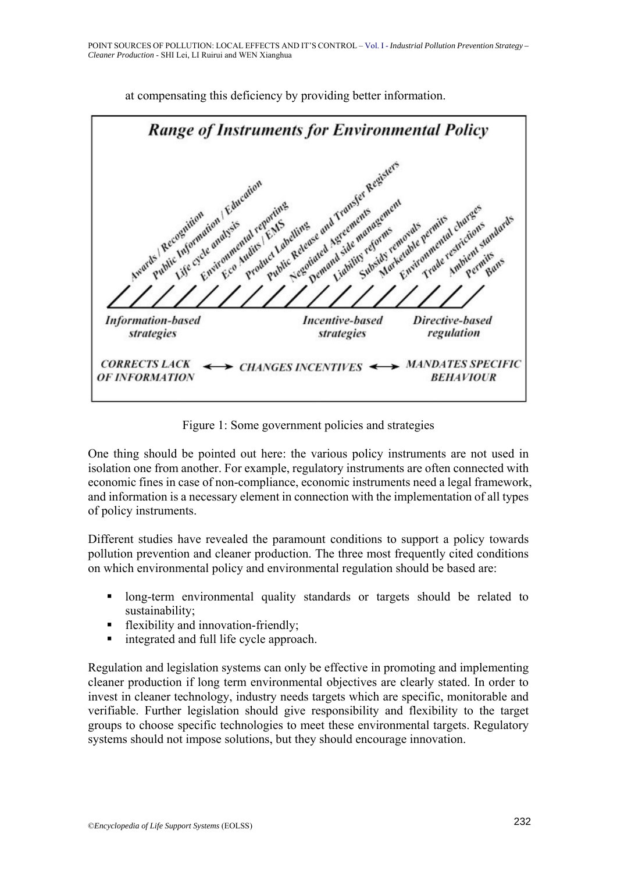

at compensating this deficiency by providing better information.

Figure 1: Some government policies and strategies

One thing should be pointed out here: the various policy instruments are not used in isolation one from another. For example, regulatory instruments are often connected with economic fines in case of non-compliance, economic instruments need a legal framework, and information is a necessary element in connection with the implementation of all types of policy instruments.

Different studies have revealed the paramount conditions to support a policy towards pollution prevention and cleaner production. The three most frequently cited conditions on which environmental policy and environmental regulation should be based are:

- **If** long-term environmental quality standards or targets should be related to sustainability;
- **flexibility and innovation-friendly;**
- integrated and full life cycle approach.

Regulation and legislation systems can only be effective in promoting and implementing cleaner production if long term environmental objectives are clearly stated. In order to invest in cleaner technology, industry needs targets which are specific, monitorable and verifiable. Further legislation should give responsibility and flexibility to the target groups to choose specific technologies to meet these environmental targets. Regulatory systems should not impose solutions, but they should encourage innovation.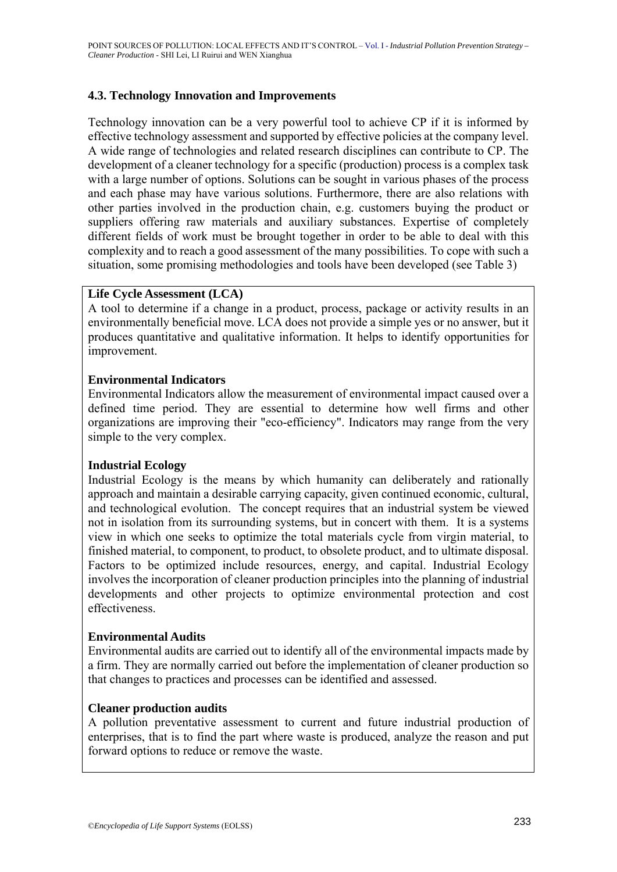## **4.3. Technology Innovation and Improvements**

Technology innovation can be a very powerful tool to achieve CP if it is informed by effective technology assessment and supported by effective policies at the company level. A wide range of technologies and related research disciplines can contribute to CP. The development of a cleaner technology for a specific (production) process is a complex task with a large number of options. Solutions can be sought in various phases of the process and each phase may have various solutions. Furthermore, there are also relations with other parties involved in the production chain, e.g. customers buying the product or suppliers offering raw materials and auxiliary substances. Expertise of completely different fields of work must be brought together in order to be able to deal with this complexity and to reach a good assessment of the many possibilities. To cope with such a situation, some promising methodologies and tools have been developed (see Table 3)

#### **Life Cycle Assessment (LCA)**

A tool to determine if a change in a product, process, package or activity results in an environmentally beneficial move. LCA does not provide a simple yes or no answer, but it produces quantitative and qualitative information. It helps to identify opportunities for improvement.

## **Environmental Indicators**

Environmental Indicators allow the measurement of environmental impact caused over a defined time period. They are essential to determine how well firms and other organizations are improving their "eco-efficiency". Indicators may range from the very simple to the very complex.

## **Industrial Ecology**

Industrial Ecology is the means by which humanity can deliberately and rationally approach and maintain a desirable carrying capacity, given continued economic, cultural, and technological evolution. The concept requires that an industrial system be viewed not in isolation from its surrounding systems, but in concert with them. It is a systems view in which one seeks to optimize the total materials cycle from virgin material, to finished material, to component, to product, to obsolete product, and to ultimate disposal. Factors to be optimized include resources, energy, and capital. Industrial Ecology involves the incorporation of cleaner production principles into the planning of industrial developments and other projects to optimize environmental protection and cost effectiveness.

#### **Environmental Audits**

Environmental audits are carried out to identify all of the environmental impacts made by a firm. They are normally carried out before the implementation of cleaner production so that changes to practices and processes can be identified and assessed.

#### **Cleaner production audits**

A pollution preventative assessment to current and future industrial production of enterprises, that is to find the part where waste is produced, analyze the reason and put forward options to reduce or remove the waste.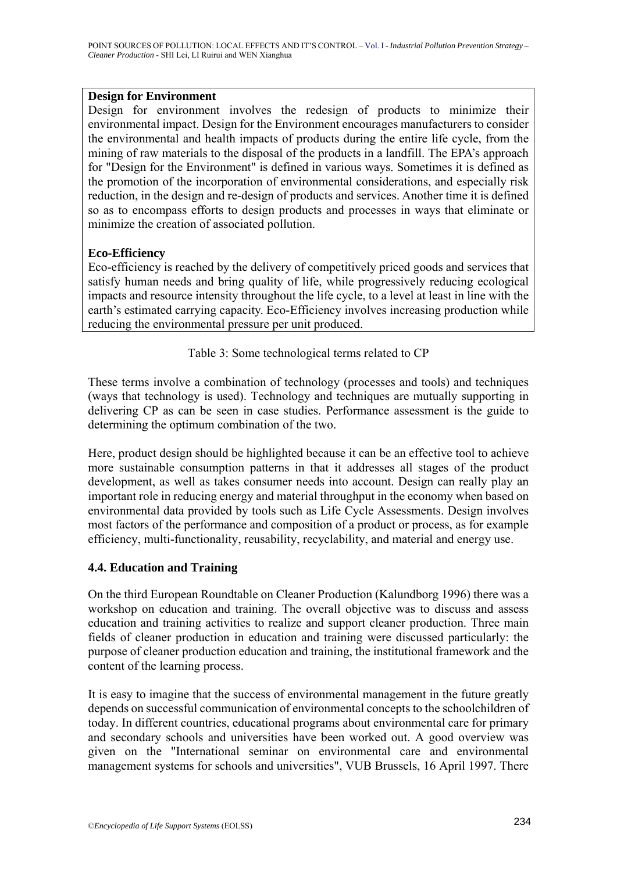#### **Design for Environment**

Design for environment involves the redesign of products to minimize their environmental impact. Design for the Environment encourages manufacturers to consider the environmental and health impacts of products during the entire life cycle, from the mining of raw materials to the disposal of the products in a landfill. The EPA's approach for "Design for the Environment" is defined in various ways. Sometimes it is defined as the promotion of the incorporation of environmental considerations, and especially risk reduction, in the design and re-design of products and services. Another time it is defined so as to encompass efforts to design products and processes in ways that eliminate or minimize the creation of associated pollution.

## **Eco-Efficiency**

Eco-efficiency is reached by the delivery of competitively priced goods and services that satisfy human needs and bring quality of life, while progressively reducing ecological impacts and resource intensity throughout the life cycle, to a level at least in line with the earth's estimated carrying capacity. Eco-Efficiency involves increasing production while reducing the environmental pressure per unit produced.

## Table 3: Some technological terms related to CP

These terms involve a combination of technology (processes and tools) and techniques (ways that technology is used). Technology and techniques are mutually supporting in delivering CP as can be seen in case studies. Performance assessment is the guide to determining the optimum combination of the two.

Here, product design should be highlighted because it can be an effective tool to achieve more sustainable consumption patterns in that it addresses all stages of the product development, as well as takes consumer needs into account. Design can really play an important role in reducing energy and material throughput in the economy when based on environmental data provided by tools such as Life Cycle Assessments. Design involves most factors of the performance and composition of a product or process, as for example efficiency, multi-functionality, reusability, recyclability, and material and energy use.

## **4.4. Education and Training**

On the third European Roundtable on Cleaner Production (Kalundborg 1996) there was a workshop on education and training. The overall objective was to discuss and assess education and training activities to realize and support cleaner production. Three main fields of cleaner production in education and training were discussed particularly: the purpose of cleaner production education and training, the institutional framework and the content of the learning process.

It is easy to imagine that the success of environmental management in the future greatly depends on successful communication of environmental concepts to the schoolchildren of today. In different countries, educational programs about environmental care for primary and secondary schools and universities have been worked out. A good overview was given on the "International seminar on environmental care and environmental management systems for schools and universities", VUB Brussels, 16 April 1997. There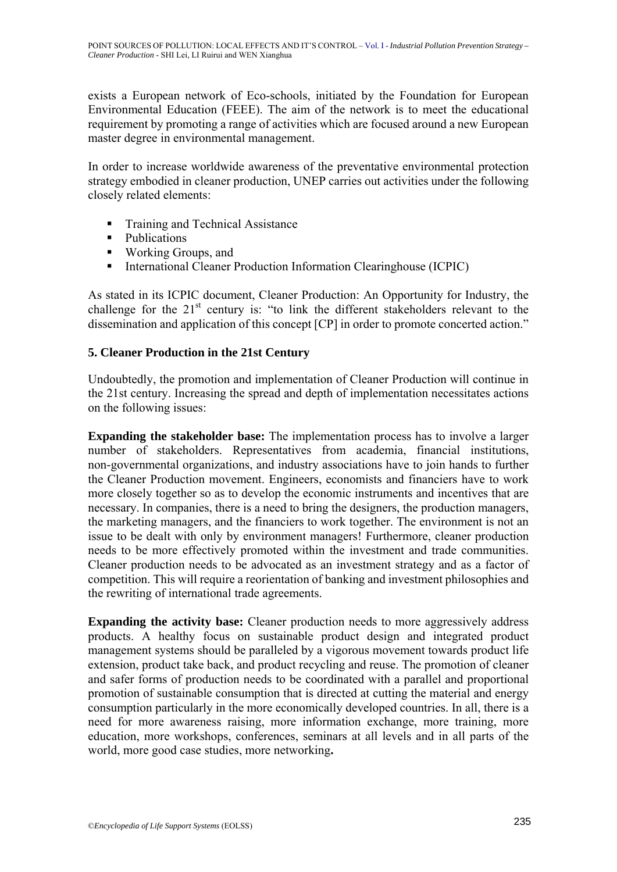exists a European network of Eco-schools, initiated by the Foundation for European Environmental Education (FEEE). The aim of the network is to meet the educational requirement by promoting a range of activities which are focused around a new European master degree in environmental management.

In order to increase worldwide awareness of the preventative environmental protection strategy embodied in cleaner production, UNEP carries out activities under the following closely related elements:

- **Training and Technical Assistance**
- Publications
- Working Groups, and
- **International Cleaner Production Information Clearinghouse (ICPIC)**

As stated in its ICPIC document, Cleaner Production: An Opportunity for Industry, the challenge for the  $21<sup>st</sup>$  century is: "to link the different stakeholders relevant to the dissemination and application of this concept [CP] in order to promote concerted action."

## **5. Cleaner Production in the 21st Century**

Undoubtedly, the promotion and implementation of Cleaner Production will continue in the 21st century. Increasing the spread and depth of implementation necessitates actions on the following issues:

**Expanding the stakeholder base:** The implementation process has to involve a larger number of stakeholders. Representatives from academia, financial institutions, non-governmental organizations, and industry associations have to join hands to further the Cleaner Production movement. Engineers, economists and financiers have to work more closely together so as to develop the economic instruments and incentives that are necessary. In companies, there is a need to bring the designers, the production managers, the marketing managers, and the financiers to work together. The environment is not an issue to be dealt with only by environment managers! Furthermore, cleaner production needs to be more effectively promoted within the investment and trade communities. Cleaner production needs to be advocated as an investment strategy and as a factor of competition. This will require a reorientation of banking and investment philosophies and the rewriting of international trade agreements.

**Expanding the activity base:** Cleaner production needs to more aggressively address products. A healthy focus on sustainable product design and integrated product management systems should be paralleled by a vigorous movement towards product life extension, product take back, and product recycling and reuse. The promotion of cleaner and safer forms of production needs to be coordinated with a parallel and proportional promotion of sustainable consumption that is directed at cutting the material and energy consumption particularly in the more economically developed countries. In all, there is a need for more awareness raising, more information exchange, more training, more education, more workshops, conferences, seminars at all levels and in all parts of the world, more good case studies, more networking**.**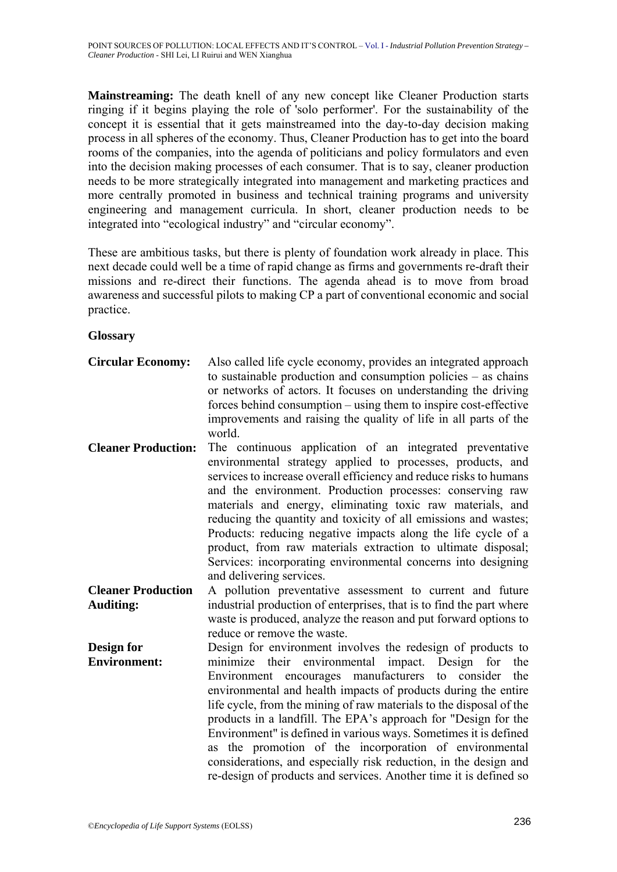**Mainstreaming:** The death knell of any new concept like Cleaner Production starts ringing if it begins playing the role of 'solo performer'. For the sustainability of the concept it is essential that it gets mainstreamed into the day-to-day decision making process in all spheres of the economy. Thus, Cleaner Production has to get into the board rooms of the companies, into the agenda of politicians and policy formulators and even into the decision making processes of each consumer. That is to say, cleaner production needs to be more strategically integrated into management and marketing practices and more centrally promoted in business and technical training programs and university engineering and management curricula. In short, cleaner production needs to be integrated into "ecological industry" and "circular economy".

These are ambitious tasks, but there is plenty of foundation work already in place. This next decade could well be a time of rapid change as firms and governments re-draft their missions and re-direct their functions. The agenda ahead is to move from broad awareness and successful pilots to making CP a part of conventional economic and social practice.

**Glossary**

| <b>Circular Economy:</b>   | Also called life cycle economy, provides an integrated approach<br>to sustainable production and consumption policies $-$ as chains<br>or networks of actors. It focuses on understanding the driving<br>forces behind consumption – using them to inspire cost-effective<br>improvements and raising the quality of life in all parts of the<br>world.                                                                                                                                                                                                                                                                  |
|----------------------------|--------------------------------------------------------------------------------------------------------------------------------------------------------------------------------------------------------------------------------------------------------------------------------------------------------------------------------------------------------------------------------------------------------------------------------------------------------------------------------------------------------------------------------------------------------------------------------------------------------------------------|
| <b>Cleaner Production:</b> | The continuous application of an integrated preventative<br>environmental strategy applied to processes, products, and<br>services to increase overall efficiency and reduce risks to humans<br>and the environment. Production processes: conserving raw<br>materials and energy, eliminating toxic raw materials, and<br>reducing the quantity and toxicity of all emissions and wastes;<br>Products: reducing negative impacts along the life cycle of a<br>product, from raw materials extraction to ultimate disposal;<br>Services: incorporating environmental concerns into designing<br>and delivering services. |
| <b>Cleaner Production</b>  | A pollution preventative assessment to current and future                                                                                                                                                                                                                                                                                                                                                                                                                                                                                                                                                                |
| <b>Auditing:</b>           | industrial production of enterprises, that is to find the part where<br>waste is produced, analyze the reason and put forward options to<br>reduce or remove the waste.                                                                                                                                                                                                                                                                                                                                                                                                                                                  |
| Design for                 | Design for environment involves the redesign of products to                                                                                                                                                                                                                                                                                                                                                                                                                                                                                                                                                              |
| <b>Environment:</b>        | minimize their environmental impact.<br>Design for<br>the<br>Environment encourages manufacturers<br>consider<br>the<br>to<br>environmental and health impacts of products during the entire<br>life cycle, from the mining of raw materials to the disposal of the<br>products in a landfill. The EPA's approach for "Design for the<br>Environment" is defined in various ways. Sometimes it is defined<br>as the promotion of the incorporation of environmental<br>considerations, and especially risk reduction, in the design and<br>re-design of products and services. Another time it is defined so             |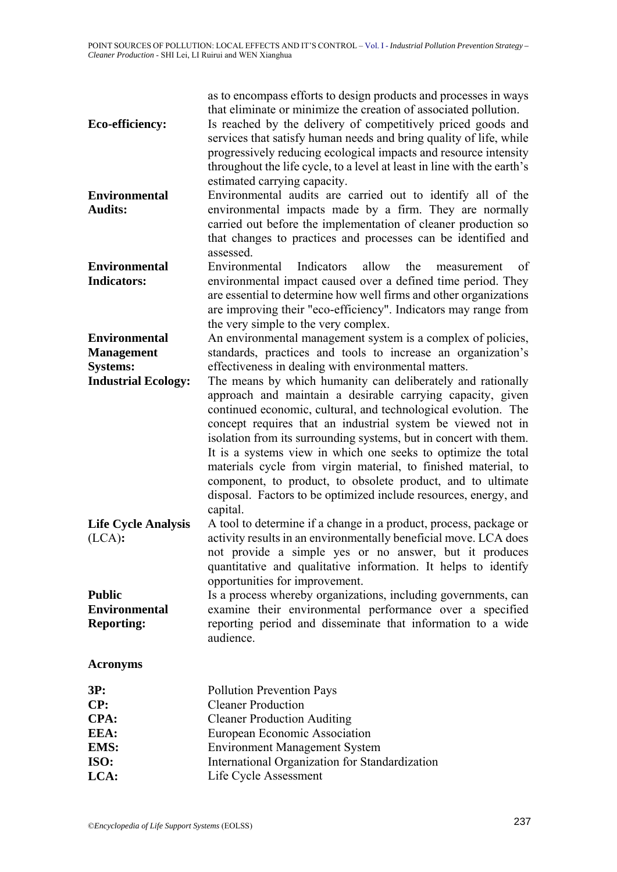| Eco-efficiency:                                            | as to encompass efforts to design products and processes in ways<br>that eliminate or minimize the creation of associated pollution.<br>Is reached by the delivery of competitively priced goods and<br>services that satisfy human needs and bring quality of life, while<br>progressively reducing ecological impacts and resource intensity<br>throughout the life cycle, to a level at least in line with the earth's                                                                                                                                                                                                                                                 |
|------------------------------------------------------------|---------------------------------------------------------------------------------------------------------------------------------------------------------------------------------------------------------------------------------------------------------------------------------------------------------------------------------------------------------------------------------------------------------------------------------------------------------------------------------------------------------------------------------------------------------------------------------------------------------------------------------------------------------------------------|
| <b>Environmental</b><br><b>Audits:</b>                     | estimated carrying capacity.<br>Environmental audits are carried out to identify all of the<br>environmental impacts made by a firm. They are normally<br>carried out before the implementation of cleaner production so<br>that changes to practices and processes can be identified and<br>assessed.                                                                                                                                                                                                                                                                                                                                                                    |
| <b>Environmental</b><br><b>Indicators:</b>                 | Environmental<br>Indicators<br>allow<br>the<br>of<br>measurement<br>environmental impact caused over a defined time period. They<br>are essential to determine how well firms and other organizations<br>are improving their "eco-efficiency". Indicators may range from<br>the very simple to the very complex.                                                                                                                                                                                                                                                                                                                                                          |
| <b>Environmental</b><br><b>Management</b>                  | An environmental management system is a complex of policies,<br>standards, practices and tools to increase an organization's                                                                                                                                                                                                                                                                                                                                                                                                                                                                                                                                              |
| <b>Systems:</b><br><b>Industrial Ecology:</b>              | effectiveness in dealing with environmental matters.<br>The means by which humanity can deliberately and rationally<br>approach and maintain a desirable carrying capacity, given<br>continued economic, cultural, and technological evolution. The<br>concept requires that an industrial system be viewed not in<br>isolation from its surrounding systems, but in concert with them.<br>It is a systems view in which one seeks to optimize the total<br>materials cycle from virgin material, to finished material, to<br>component, to product, to obsolete product, and to ultimate<br>disposal. Factors to be optimized include resources, energy, and<br>capital. |
| <b>Life Cycle Analysis</b><br>(LCA):                       | A tool to determine if a change in a product, process, package or<br>activity results in an environmentally beneficial move. LCA does<br>not provide a simple yes or no answer, but it produces<br>quantitative and qualitative information. It helps to identify<br>opportunities for improvement.                                                                                                                                                                                                                                                                                                                                                                       |
| <b>Public</b><br><b>Environmental</b><br><b>Reporting:</b> | Is a process whereby organizations, including governments, can<br>examine their environmental performance over a specified<br>reporting period and disseminate that information to a wide<br>audience.                                                                                                                                                                                                                                                                                                                                                                                                                                                                    |
| <b>Acronyms</b>                                            |                                                                                                                                                                                                                                                                                                                                                                                                                                                                                                                                                                                                                                                                           |
| 3P:<br>CP:<br>CPA:<br>EEA:<br>EMS:                         | <b>Pollution Prevention Pays</b><br><b>Cleaner Production</b><br><b>Cleaner Production Auditing</b><br>European Economic Association<br><b>Environment Management System</b>                                                                                                                                                                                                                                                                                                                                                                                                                                                                                              |
| TC <sub>0</sub>                                            | International Organization for Standardization                                                                                                                                                                                                                                                                                                                                                                                                                                                                                                                                                                                                                            |

- **ISO:** International Organization for Standardization **LCA:** Life Cycle Assessment
	-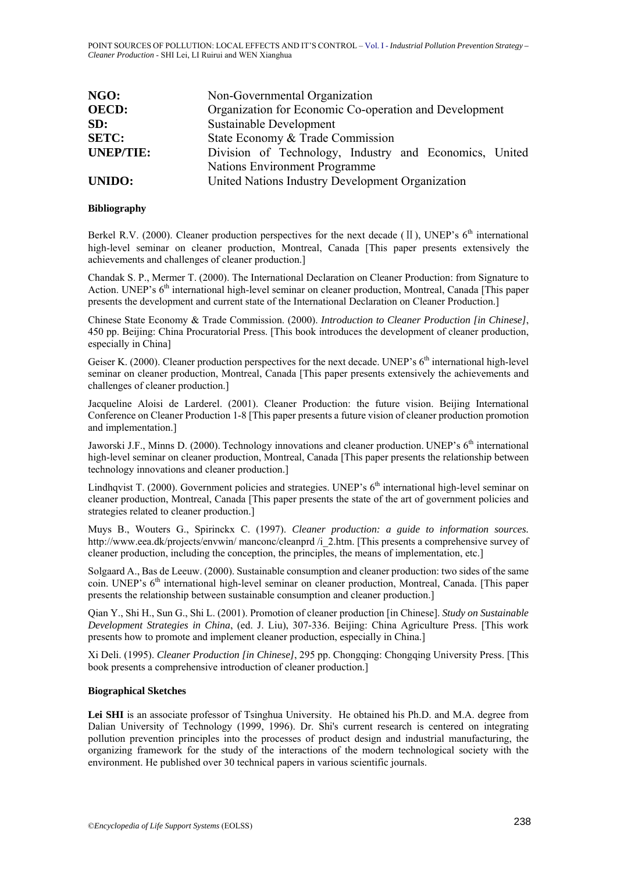| NGO:             | Non-Governmental Organization                          |
|------------------|--------------------------------------------------------|
| <b>OECD:</b>     | Organization for Economic Co-operation and Development |
| SD:              | Sustainable Development                                |
| <b>SETC:</b>     | State Economy & Trade Commission                       |
| <b>UNEP/TIE:</b> | Division of Technology, Industry and Economics, United |
|                  | <b>Nations Environment Programme</b>                   |
| <b>UNIDO:</b>    | United Nations Industry Development Organization       |

#### **Bibliography**

Berkel R.V. (2000). Cleaner production perspectives for the next decade ( $II$ ), UNEP's  $6<sup>th</sup>$  international high-level seminar on cleaner production, Montreal, Canada [This paper presents extensively the achievements and challenges of cleaner production.]

Chandak S. P., Mermer T. (2000). The International Declaration on Cleaner Production: from Signature to Action. UNEP's 6<sup>th</sup> international high-level seminar on cleaner production, Montreal, Canada [This paper presents the development and current state of the International Declaration on Cleaner Production.]

Chinese State Economy & Trade Commission. (2000). *Introduction to Cleaner Production [in Chinese]*, 450 pp. Beijing: China Procuratorial Press. [This book introduces the development of cleaner production, especially in China]

Geiser K. (2000). Cleaner production perspectives for the next decade. UNEP's 6<sup>th</sup> international high-level seminar on cleaner production, Montreal, Canada [This paper presents extensively the achievements and challenges of cleaner production.]

Jacqueline Aloisi de Larderel. (2001). Cleaner Production: the future vision. Beijing International Conference on Cleaner Production 1-8 [This paper presents a future vision of cleaner production promotion and implementation.]

Jaworski J.F., Minns D. (2000). Technology innovations and cleaner production. UNEP's 6<sup>th</sup> international high-level seminar on cleaner production, Montreal, Canada [This paper presents the relationship between technology innovations and cleaner production.]

Lindhavist T. (2000). Government policies and strategies. UNEP's 6<sup>th</sup> international high-level seminar on cleaner production, Montreal, Canada [This paper presents the state of the art of government policies and strategies related to cleaner production.]

Muys B., Wouters G., Spirinckx C. (1997). *Cleaner production: a guide to information sources.* http://www.eea.dk/projects/envwin/ manconc/cleanprd /i\_2.htm. [This presents a comprehensive survey of cleaner production, including the conception, the principles, the means of implementation, etc.]

Solgaard A., Bas de Leeuw. (2000). Sustainable consumption and cleaner production: two sides of the same coin. UNEP's 6<sup>th</sup> international high-level seminar on cleaner production, Montreal, Canada. [This paper presents the relationship between sustainable consumption and cleaner production.]

Qian Y., Shi H., Sun G., Shi L. (2001). Promotion of cleaner production [in Chinese]. *Study on Sustainable Development Strategies in China*, (ed. J. Liu), 307-336. Beijing: China Agriculture Press. [This work presents how to promote and implement cleaner production, especially in China.]

Xi Deli. (1995). *Cleaner Production [in Chinese]*, 295 pp. Chongqing: Chongqing University Press. [This book presents a comprehensive introduction of cleaner production.]

#### **Biographical Sketches**

Lei SHI is an associate professor of Tsinghua University. He obtained his Ph.D. and M.A. degree from Dalian University of Technology (1999, 1996). Dr. Shi's current research is centered on integrating pollution prevention principles into the processes of product design and industrial manufacturing, the organizing framework for the study of the interactions of the modern technological society with the environment. He published over 30 technical papers in various scientific journals.